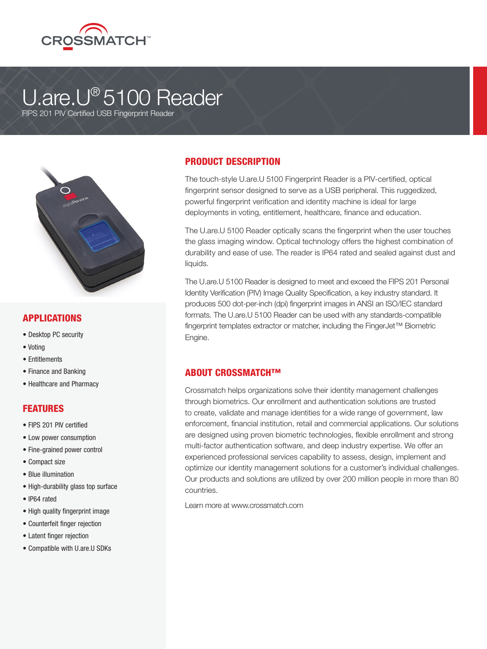

# U.are.U® 5100 Reader

FIPS 201 PIV Certified USB Fingerprint Reader



#### APPLICATIONS

- Desktop PC security
- Voting
- Entitlements
- Finance and Banking
- Healthcare and Pharmacy

#### FEATURES

- FIPS 201 PIV certified
- Low power consumption
- Fine-grained power control
- Compact size
- Blue illumination
- High-durability glass top surface
- IP64 rated
- High quality fingerprint image
- Counterfeit finger rejection
- Latent finger rejection
- Compatible with U.are.U SDKs

### PRODUCT DESCRIPTION

The touch-style U.are.U 5100 Fingerprint Reader is a PIV-certified, optical fingerprint sensor designed to serve as a USB peripheral. This ruggedized, powerful fingerprint verification and identity machine is ideal for large deployments in voting, entitlement, healthcare, finance and education.

The U.are.U 5100 Reader optically scans the fingerprint when the user touches the glass imaging window. Optical technology offers the highest combination of durability and ease of use. The reader is IP64 rated and sealed against dust and liquids.

The U.are.U 5100 Reader is designed to meet and exceed the FIPS 201 Personal Identity Verification (PIV) Image Quality Specification, a key industry standard. It produces 500 dot-per-inch (dpi) fingerprint images in ANSI an ISO/IEC standard formats. The U.are.U 5100 Reader can be used with any standards-compatible fingerprint templates extractor or matcher, including the FingerJet™ Biometric Engine.

#### ABOUT CROSSMATCH™

Crossmatch helps organizations solve their identity management challenges through biometrics. Our enrollment and authentication solutions are trusted to create, validate and manage identities for a wide range of government, law enforcement, financial institution, retail and commercial applications. Our solutions are designed using proven biometric technologies, flexible enrollment and strong multi-factor authentication software, and deep industry expertise. We offer an experienced professional services capability to assess, design, implement and optimize our identity management solutions for a customer's individual challenges. Our products and solutions are utilized by over 200 million people in more than 80 countries.

Learn more at www.crossmatch.com